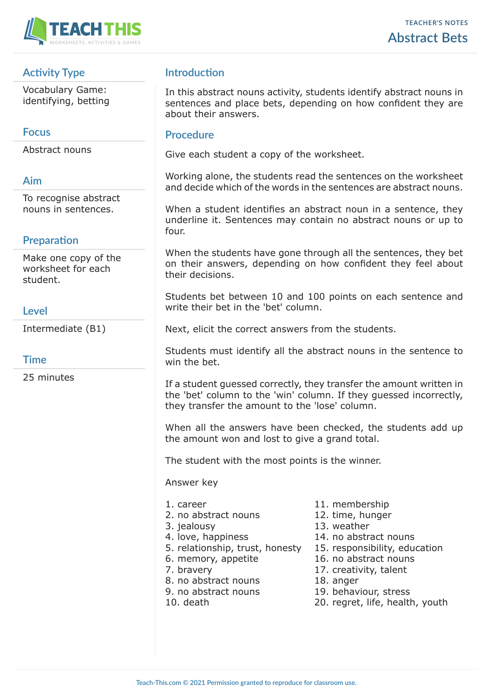

# **Activity Type**

Vocabulary Game: identifying, betting

#### **Focus**

Abstract nouns

#### **Aim**

To recognise abstract nouns in sentences.

# **Preparation**

Make one copy of the worksheet for each student.

# **Level**

Intermediate (B1)

#### **Time**

25 minutes

# **Introduction**

In this abstract nouns activity, students identify abstract nouns in sentences and place bets, depending on how confident they are about their answers.

#### **Procedure**

Give each student a copy of the worksheet.

Working alone, the students read the sentences on the worksheet and decide which of the words in the sentences are abstract nouns.

When a student identifies an abstract noun in a sentence, they underline it. Sentences may contain no abstract nouns or up to four.

When the students have gone through all the sentences, they bet on their answers, depending on how confident they feel about their decisions.

Students bet between 10 and 100 points on each sentence and write their bet in the 'bet' column.

Next, elicit the correct answers from the students.

Students must identify all the abstract nouns in the sentence to win the bet.

If a student guessed correctly, they transfer the amount written in the 'bet' column to the 'win' column. If they guessed incorrectly, they transfer the amount to the 'lose' column.

When all the answers have been checked, the students add up the amount won and lost to give a grand total.

The student with the most points is the winner.

Answer key

- 
- 2. no abstract nouns 12. time, hunger
- 
- 
- 5. relationship, trust, honesty 15. responsibility, education
- 
- 
- 8. no abstract nouns 18. anger
- 
- 
- 1. career 11. membership
	-
- 3. jealousy 13. weather
- 4. love, happiness 14. no abstract nouns
	-
- 6. memory, appetite 16. no abstract nouns
- 7. bravery 17. creativity, talent
	-
- 9. no abstract nouns 19. behaviour, stress
- 10. death 20. regret, life, health, youth